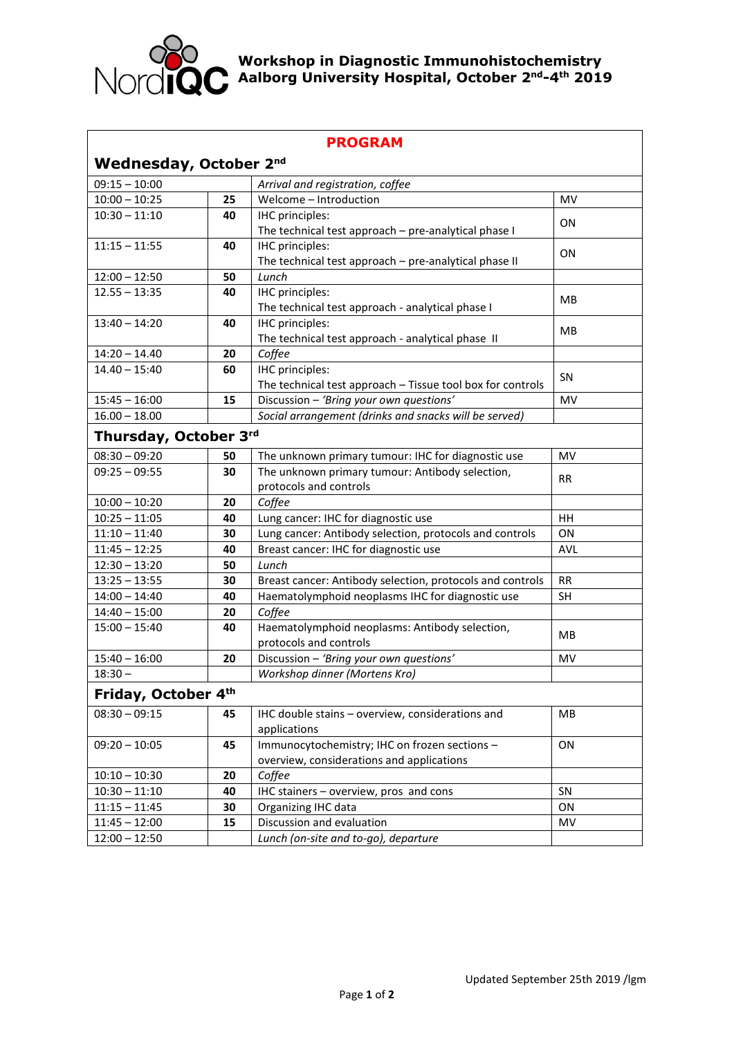

## **Workshop in Diagnostic Immunohistochemistry Aalborg University Hospital, October 2nd-4 th 2019**

| <b>PROGRAM</b>                |    |                                                            |            |
|-------------------------------|----|------------------------------------------------------------|------------|
| <b>Wednesday, October 2nd</b> |    |                                                            |            |
| $09:15 - 10:00$               |    | Arrival and registration, coffee                           |            |
| $10:00 - 10:25$               | 25 | Welcome - Introduction                                     | MV         |
| $10:30 - 11:10$               | 40 | IHC principles:                                            | ON         |
|                               |    | The technical test approach - pre-analytical phase I       |            |
| $11:15 - 11:55$               | 40 | IHC principles:                                            | ON         |
|                               |    | The technical test approach - pre-analytical phase II      |            |
| $12:00 - 12:50$               | 50 | Lunch                                                      |            |
| $12.55 - 13:35$               | 40 | IHC principles:                                            | MВ         |
|                               |    | The technical test approach - analytical phase I           |            |
| $13:40 - 14:20$               | 40 | IHC principles:                                            | MB         |
|                               |    | The technical test approach - analytical phase II          |            |
| $14:20 - 14.40$               | 20 | Coffee                                                     |            |
| $14.40 - 15:40$               | 60 | IHC principles:                                            | SN         |
|                               |    | The technical test approach - Tissue tool box for controls |            |
| $15:45 - 16:00$               | 15 | Discussion - 'Bring your own questions'                    | <b>MV</b>  |
| $16.00 - 18.00$               |    | Social arrangement (drinks and snacks will be served)      |            |
| Thursday, October 3rd         |    |                                                            |            |
| $08:30 - 09:20$               | 50 | The unknown primary tumour: IHC for diagnostic use         | MV         |
| $09:25 - 09:55$               | 30 | The unknown primary tumour: Antibody selection,            | <b>RR</b>  |
|                               |    | protocols and controls                                     |            |
| $10:00 - 10:20$               | 20 | Coffee                                                     |            |
| $10:25 - 11:05$               | 40 | Lung cancer: IHC for diagnostic use                        | HH         |
| $11:10 - 11:40$               | 30 | Lung cancer: Antibody selection, protocols and controls    | ON         |
| $11:45 - 12:25$               | 40 | Breast cancer: IHC for diagnostic use                      | <b>AVL</b> |
| $12:30 - 13:20$               | 50 | Lunch                                                      |            |
| $13:25 - 13:55$               | 30 | Breast cancer: Antibody selection, protocols and controls  | <b>RR</b>  |
| $14:00 - 14:40$               | 40 | Haematolymphoid neoplasms IHC for diagnostic use           | SH         |
| $14:40 - 15:00$               | 20 | Coffee                                                     |            |
| $15:00 - 15:40$               | 40 | Haematolymphoid neoplasms: Antibody selection,             | MB.        |
|                               |    | protocols and controls                                     |            |
| $15:40 - 16:00$               | 20 | Discussion - 'Bring your own questions'                    | MV         |
| $18:30 -$                     |    | Workshop dinner (Mortens Kro)                              |            |
| Friday, October 4th           |    |                                                            |            |
| $08:30 - 09:15$               | 45 | IHC double stains - overview, considerations and           | <b>MB</b>  |
|                               |    | applications                                               |            |
| $09:20 - 10:05$               | 45 | Immunocytochemistry; IHC on frozen sections -              | ON         |
|                               |    | overview, considerations and applications                  |            |
| $10:10 - 10:30$               | 20 | Coffee                                                     |            |
| $10:30 - 11:10$               | 40 | IHC stainers - overview, pros and cons                     | SN         |
| $11:15 - 11:45$               | 30 | Organizing IHC data                                        | ON         |
| $11:45 - 12:00$               | 15 | Discussion and evaluation                                  | MV         |
| $12:00 - 12:50$               |    | Lunch (on-site and to-go), departure                       |            |